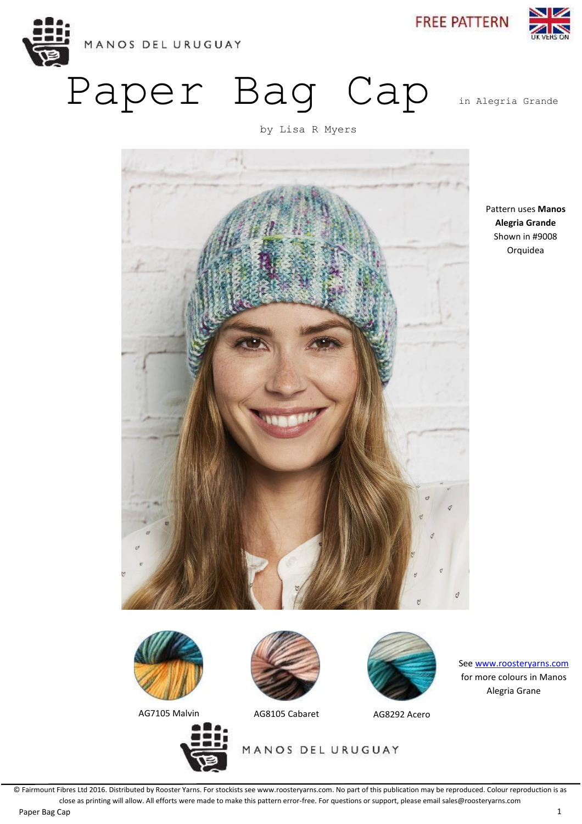

Paper Bag Cap in Alegria Grande

**FREE PATTERN** 





Pattern uses **Manos Alegria Grande** Shown in #9008 Orquidea



AG7105 Malvin <br>AG8105 Cabaret AG8292 Acero







See [www.roosteryarns.com](http://www.roosteryarns.com/) for more colours in Manos Alegria Grane

MANOS DEL URUGUAY

© Fairmount Fibres Ltd 2016. Distributed by Rooster Yarns. For stockists see www.roosteryarns.com. No part of this publication may be reproduced. Colour reproduction is as close as printing will allow. All efforts were made to make this pattern error-free. For questions or support, please email sales@roosteryarns.com

Paper Bag Cap 1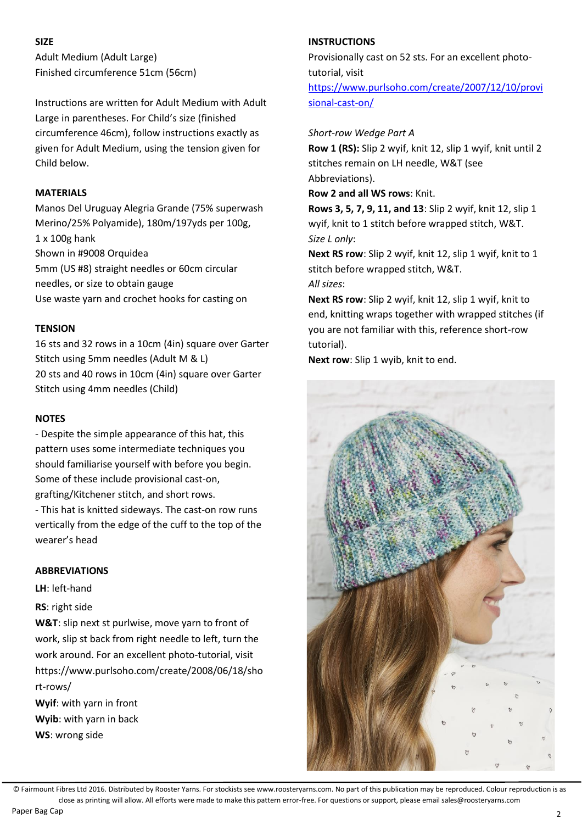# **SIZE**

Adult Medium (Adult Large) Finished circumference 51cm (56cm)

Instructions are written for Adult Medium with Adult Large in parentheses. For Child's size (finished circumference 46cm), follow instructions exactly as given for Adult Medium, using the tension given for Child below.

## **MATERIALS**

Manos Del Uruguay Alegria Grande (75% superwash Merino/25% Polyamide), 180m/197yds per 100g, 1 x 100g hank Shown in #9008 Orquidea 5mm (US #8) straight needles or 60cm circular needles, or size to obtain gauge Use waste yarn and crochet hooks for casting on

#### **TENSION**

16 sts and 32 rows in a 10cm (4in) square over Garter Stitch using 5mm needles (Adult M & L) 20 sts and 40 rows in 10cm (4in) square over Garter Stitch using 4mm needles (Child)

### **NOTES**

- Despite the simple appearance of this hat, this pattern uses some intermediate techniques you should familiarise yourself with before you begin. Some of these include provisional cast-on, grafting/Kitchener stitch, and short rows. - This hat is knitted sideways. The cast-on row runs

vertically from the edge of the cuff to the top of the wearer's head

#### **ABBREVIATIONS**

**LH**: left-hand

## **RS**: right side

**W&T**: slip next st purlwise, move yarn to front of work, slip st back from right needle to left, turn the work around. For an excellent photo-tutorial, visit https://www.pu[rlsoho.com/crea](http://www.purlsoho.com/cre-)te/2008/06/18/sho rt-rows/

**Wyif**: with yarn in front **Wyib**: with yarn in back **WS**: wrong side

### **INSTRUCTIONS**

Provisionally cast on 52 sts. For an excellent phototutorial, visit [https://www.purlsoho.com/create/2007/12/10/provi](https://www.purlsoho.com/create/2007/12/10/provisional-cast-on/) [sional-cast-on/](https://www.purlsoho.com/create/2007/12/10/provisional-cast-on/)

### *Short-row Wedge Part A*

**Row 1 (RS):** Slip 2 wyif, knit 12, slip 1 wyif, knit until 2 stitches remain on LH needle, W&T (see Abbreviations).

**Row 2 and all WS rows**: Knit.

**Rows 3, 5, 7, 9, 11, and 13**: Slip 2 wyif, knit 12, slip 1 wyif, knit to 1 stitch before wrapped stitch, W&T. *Size L only*:

**Next RS row**: Slip 2 wyif, knit 12, slip 1 wyif, knit to 1 stitch before wrapped stitch, W&T. *All sizes*:

**Next RS row**: Slip 2 wyif, knit 12, slip 1 wyif, knit to end, knitting wraps together with wrapped stitches (if you are not familiar with this, reference short-row tutorial).

**Next row**: Slip 1 wyib, knit to end.



© Fairmount Fibres Ltd 2016. Distributed by Rooster Yarns. For stockists see www.roosteryarns.com. No part of this publication may be reproduced. Colour reproduction is as close as printing will allow. All efforts were made to make this pattern error-free. For questions or support, please email sales@roosteryarns.com